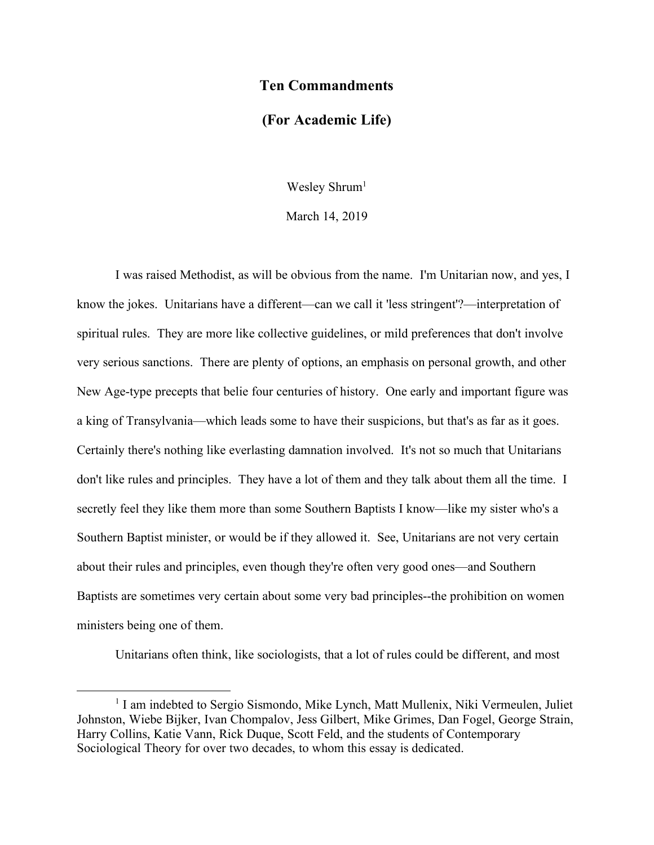# **Ten Commandments**

# **(For Academic Life)**

Wesley Shrum<sup>1</sup>

March 14, 2019

I was raised Methodist, as will be obvious from the name. I'm Unitarian now, and yes, I know the jokes. Unitarians have a different—can we call it 'less stringent'?—interpretation of spiritual rules. They are more like collective guidelines, or mild preferences that don't involve very serious sanctions. There are plenty of options, an emphasis on personal growth, and other New Age-type precepts that belie four centuries of history. One early and important figure was a king of Transylvania—which leads some to have their suspicions, but that's as far as it goes. Certainly there's nothing like everlasting damnation involved. It's not so much that Unitarians don't like rules and principles. They have a lot of them and they talk about them all the time. I secretly feel they like them more than some Southern Baptists I know—like my sister who's a Southern Baptist minister, or would be if they allowed it. See, Unitarians are not very certain about their rules and principles, even though they're often very good ones—and Southern Baptists are sometimes very certain about some very bad principles--the prohibition on women ministers being one of them.

Unitarians often think, like sociologists, that a lot of rules could be different, and most

<sup>&</sup>lt;sup>1</sup> I am indebted to Sergio Sismondo, Mike Lynch, Matt Mullenix, Niki Vermeulen, Juliet Johnston, Wiebe Bijker, Ivan Chompalov, Jess Gilbert, Mike Grimes, Dan Fogel, George Strain, Harry Collins, Katie Vann, Rick Duque, Scott Feld, and the students of Contemporary Sociological Theory for over two decades, to whom this essay is dedicated.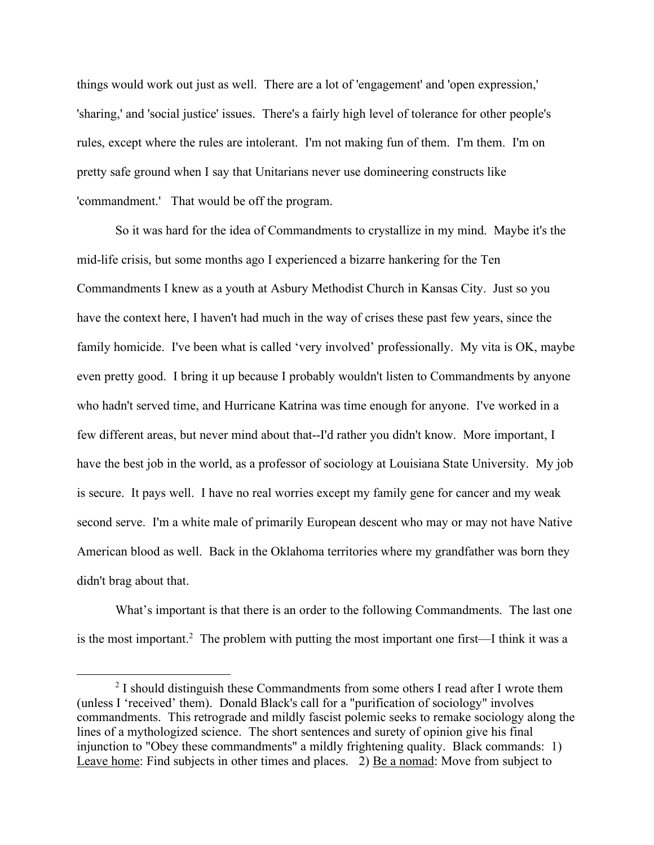things would work out just as well. There are a lot of 'engagement' and 'open expression,' 'sharing,' and 'social justice' issues. There's a fairly high level of tolerance for other people's rules, except where the rules are intolerant. I'm not making fun of them. I'm them. I'm on pretty safe ground when I say that Unitarians never use domineering constructs like 'commandment.' That would be off the program.

So it was hard for the idea of Commandments to crystallize in my mind. Maybe it's the mid-life crisis, but some months ago I experienced a bizarre hankering for the Ten Commandments I knew as a youth at Asbury Methodist Church in Kansas City. Just so you have the context here, I haven't had much in the way of crises these past few years, since the family homicide. I've been what is called 'very involved' professionally. My vita is OK, maybe even pretty good. I bring it up because I probably wouldn't listen to Commandments by anyone who hadn't served time, and Hurricane Katrina was time enough for anyone. I've worked in a few different areas, but never mind about that--I'd rather you didn't know. More important, I have the best job in the world, as a professor of sociology at Louisiana State University. My job is secure. It pays well. I have no real worries except my family gene for cancer and my weak second serve. I'm a white male of primarily European descent who may or may not have Native American blood as well. Back in the Oklahoma territories where my grandfather was born they didn't brag about that.

What's important is that there is an order to the following Commandments. The last one is the most important.<sup>2</sup> The problem with putting the most important one first—I think it was a

<sup>&</sup>lt;sup>2</sup> I should distinguish these Commandments from some others I read after I wrote them (unless I 'received' them). Donald Black's call for a "purification of sociology" involves commandments. This retrograde and mildly fascist polemic seeks to remake sociology along the lines of a mythologized science. The short sentences and surety of opinion give his final injunction to "Obey these commandments" a mildly frightening quality. Black commands: 1) Leave home: Find subjects in other times and places. 2) Be a nomad: Move from subject to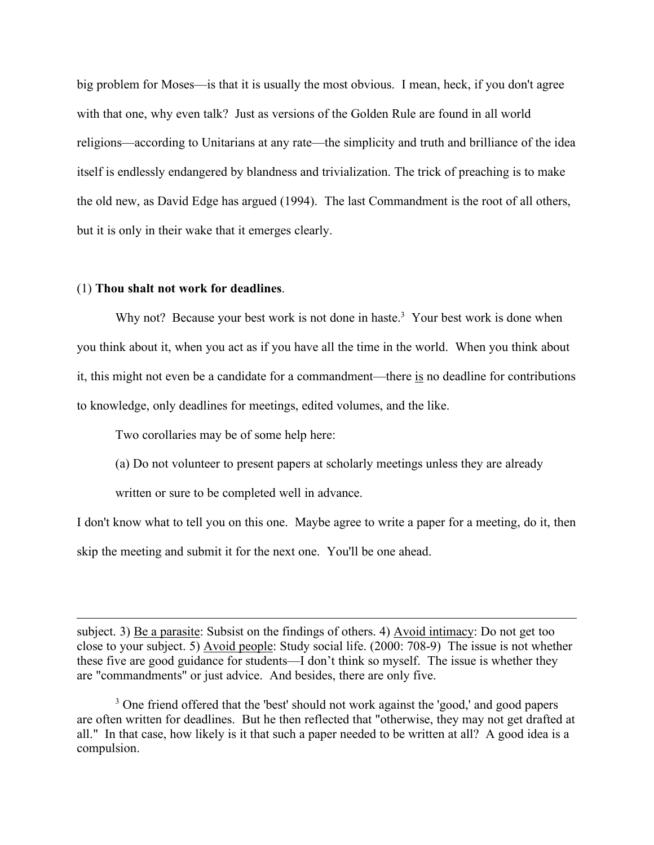big problem for Moses—is that it is usually the most obvious. I mean, heck, if you don't agree with that one, why even talk? Just as versions of the Golden Rule are found in all world religions—according to Unitarians at any rate—the simplicity and truth and brilliance of the idea itself is endlessly endangered by blandness and trivialization. The trick of preaching is to make the old new, as David Edge has argued (1994). The last Commandment is the root of all others, but it is only in their wake that it emerges clearly.

### (1) **Thou shalt not work for deadlines**.

 $\overline{a}$ 

Why not? Because your best work is not done in haste.<sup>3</sup> Your best work is done when you think about it, when you act as if you have all the time in the world. When you think about it, this might not even be a candidate for a commandment—there is no deadline for contributions to knowledge, only deadlines for meetings, edited volumes, and the like.

Two corollaries may be of some help here:

(a) Do not volunteer to present papers at scholarly meetings unless they are already

written or sure to be completed well in advance.

I don't know what to tell you on this one. Maybe agree to write a paper for a meeting, do it, then skip the meeting and submit it for the next one. You'll be one ahead.

subject. 3) Be a parasite: Subsist on the findings of others. 4) Avoid intimacy: Do not get too close to your subject. 5) Avoid people: Study social life. (2000: 708-9) The issue is not whether these five are good guidance for students—I don't think so myself. The issue is whether they are "commandments" or just advice. And besides, there are only five.

<sup>3</sup> One friend offered that the 'best' should not work against the 'good,' and good papers are often written for deadlines. But he then reflected that "otherwise, they may not get drafted at all." In that case, how likely is it that such a paper needed to be written at all? A good idea is a compulsion.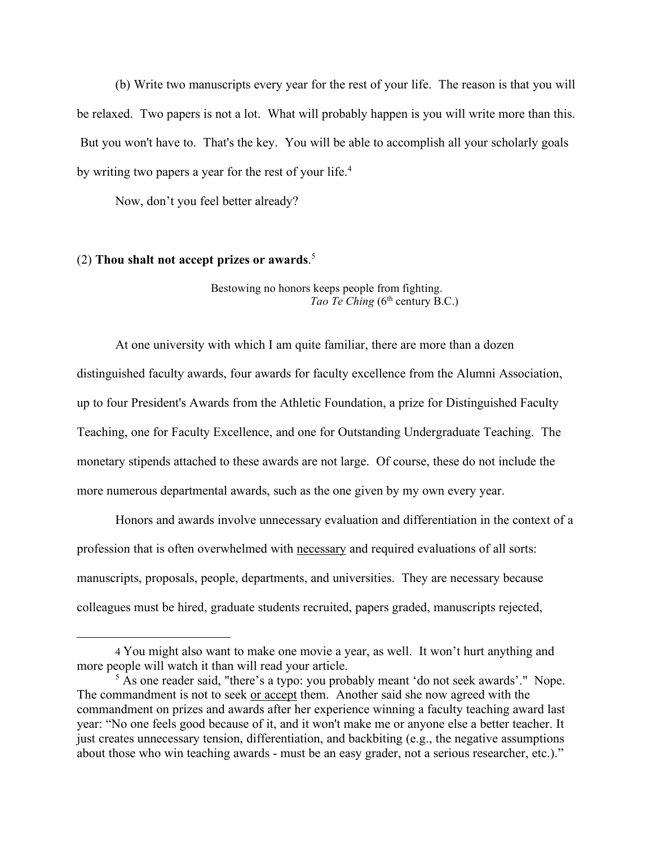(b) Write two manuscripts every year for the rest of your life. The reason is that you will be relaxed. Two papers is not a lot. What will probably happen is you will write more than this. But you won't have to. That's the key. You will be able to accomplish all your scholarly goals by writing two papers a year for the rest of your life.<sup>4</sup>

Now, don't you feel better already?

# (2) **Thou shalt not accept prizes or awards**. 5

 $\overline{a}$ 

Bestowing no honors keeps people from fighting.  $Tao$   $Te$   $Ching$   $(6<sup>th</sup>$  century  $B.C.)$ 

At one university with which I am quite familiar, there are more than a dozen distinguished faculty awards, four awards for faculty excellence from the Alumni Association, up to four President's Awards from the Athletic Foundation, a prize for Distinguished Faculty Teaching, one for Faculty Excellence, and one for Outstanding Undergraduate Teaching. The monetary stipends attached to these awards are not large. Of course, these do not include the more numerous departmental awards, such as the one given by my own every year.

Honors and awards involve unnecessary evaluation and differentiation in the context of a profession that is often overwhelmed with necessary and required evaluations of all sorts: manuscripts, proposals, people, departments, and universities. They are necessary because colleagues must be hired, graduate students recruited, papers graded, manuscripts rejected,

<sup>4</sup> You might also want to make one movie a year, as well. It won't hurt anything and more people will watch it than will read your article.

<sup>&</sup>lt;sup>5</sup> As one reader said, "there's a typo: you probably meant 'do not seek awards'." Nope. The commandment is not to seek or accept them. Another said she now agreed with the commandment on prizes and awards after her experience winning a faculty teaching award last year: "No one feels good because of it, and it won't make me or anyone else a better teacher. It just creates unnecessary tension, differentiation, and backbiting (e.g., the negative assumptions about those who win teaching awards - must be an easy grader, not a serious researcher, etc.)."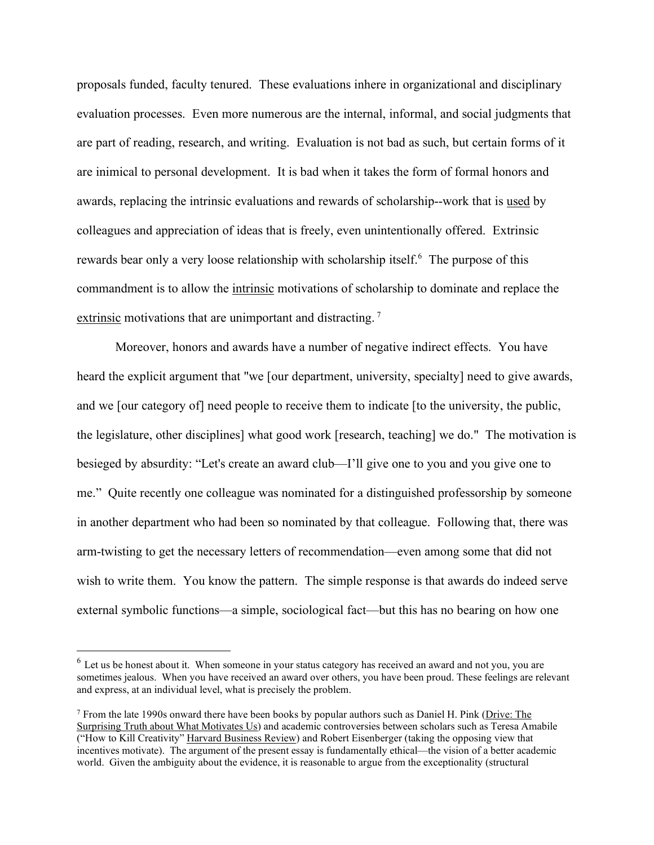proposals funded, faculty tenured. These evaluations inhere in organizational and disciplinary evaluation processes. Even more numerous are the internal, informal, and social judgments that are part of reading, research, and writing. Evaluation is not bad as such, but certain forms of it are inimical to personal development. It is bad when it takes the form of formal honors and awards, replacing the intrinsic evaluations and rewards of scholarship--work that is used by colleagues and appreciation of ideas that is freely, even unintentionally offered. Extrinsic rewards bear only a very loose relationship with scholarship itself.<sup>6</sup> The purpose of this commandment is to allow the intrinsic motivations of scholarship to dominate and replace the extrinsic motivations that are unimportant and distracting.<sup>7</sup>

Moreover, honors and awards have a number of negative indirect effects. You have heard the explicit argument that "we [our department, university, specialty] need to give awards, and we [our category of] need people to receive them to indicate [to the university, the public, the legislature, other disciplines] what good work [research, teaching] we do." The motivation is besieged by absurdity: "Let's create an award club—I'll give one to you and you give one to me." Quite recently one colleague was nominated for a distinguished professorship by someone in another department who had been so nominated by that colleague. Following that, there was arm-twisting to get the necessary letters of recommendation—even among some that did not wish to write them. You know the pattern. The simple response is that awards do indeed serve external symbolic functions—a simple, sociological fact—but this has no bearing on how one

<sup>&</sup>lt;sup>6</sup> Let us be honest about it. When someone in your status category has received an award and not you, you are sometimes jealous. When you have received an award over others, you have been proud. These feelings are relevant and express, at an individual level, what is precisely the problem.

<sup>7</sup> From the late 1990s onward there have been books by popular authors such as Daniel H. Pink (Drive: The Surprising Truth about What Motivates Us) and academic controversies between scholars such as Teresa Amabile ("How to Kill Creativity" Harvard Business Review) and Robert Eisenberger (taking the opposing view that incentives motivate). The argument of the present essay is fundamentally ethical—the vision of a better academic world. Given the ambiguity about the evidence, it is reasonable to argue from the exceptionality (structural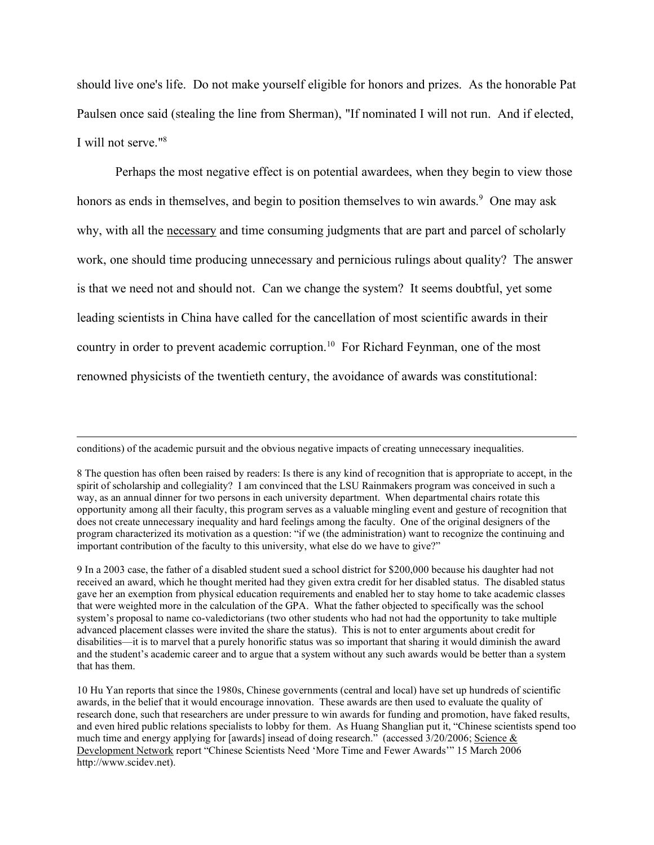should live one's life. Do not make yourself eligible for honors and prizes. As the honorable Pat Paulsen once said (stealing the line from Sherman), "If nominated I will not run. And if elected, I will not serve."8

Perhaps the most negative effect is on potential awardees, when they begin to view those honors as ends in themselves, and begin to position themselves to win awards.<sup>9</sup> One may ask why, with all the necessary and time consuming judgments that are part and parcel of scholarly work, one should time producing unnecessary and pernicious rulings about quality? The answer is that we need not and should not. Can we change the system? It seems doubtful, yet some leading scientists in China have called for the cancellation of most scientific awards in their country in order to prevent academic corruption.<sup>10</sup> For Richard Feynman, one of the most renowned physicists of the twentieth century, the avoidance of awards was constitutional:

conditions) of the academic pursuit and the obvious negative impacts of creating unnecessary inequalities.

<sup>8</sup> The question has often been raised by readers: Is there is any kind of recognition that is appropriate to accept, in the spirit of scholarship and collegiality? I am convinced that the LSU Rainmakers program was conceived in such a way, as an annual dinner for two persons in each university department. When departmental chairs rotate this opportunity among all their faculty, this program serves as a valuable mingling event and gesture of recognition that does not create unnecessary inequality and hard feelings among the faculty. One of the original designers of the program characterized its motivation as a question: "if we (the administration) want to recognize the continuing and important contribution of the faculty to this university, what else do we have to give?"

<sup>9</sup> In a 2003 case, the father of a disabled student sued a school district for \$200,000 because his daughter had not received an award, which he thought merited had they given extra credit for her disabled status. The disabled status gave her an exemption from physical education requirements and enabled her to stay home to take academic classes that were weighted more in the calculation of the GPA. What the father objected to specifically was the school system's proposal to name co-valedictorians (two other students who had not had the opportunity to take multiple advanced placement classes were invited the share the status). This is not to enter arguments about credit for disabilities—it is to marvel that a purely honorific status was so important that sharing it would diminish the award and the student's academic career and to argue that a system without any such awards would be better than a system that has them.

<sup>10</sup> Hu Yan reports that since the 1980s, Chinese governments (central and local) have set up hundreds of scientific awards, in the belief that it would encourage innovation. These awards are then used to evaluate the quality of research done, such that researchers are under pressure to win awards for funding and promotion, have faked results, and even hired public relations specialists to lobby for them. As Huang Shanglian put it, "Chinese scientists spend too much time and energy applying for [awards] insead of doing research." (accessed  $3/20/2006$ ; Science & Development Network report "Chinese Scientists Need 'More Time and Fewer Awards'" 15 March 2006 http://www.scidev.net).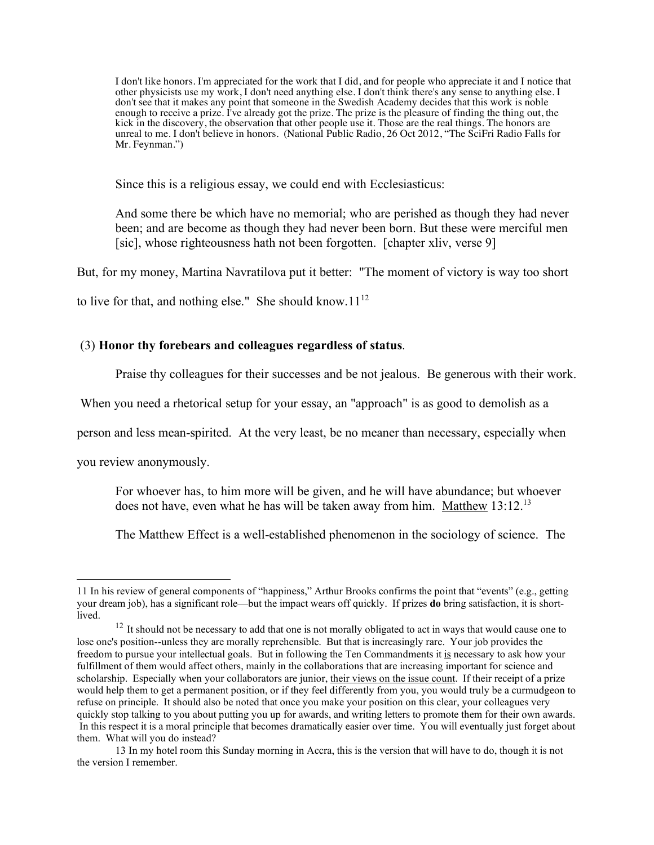I don't like honors. I'm appreciated for the work that I did, and for people who appreciate it and I notice that other physicists use my work, I don't need anything else. I don't think there's any sense to anything else. I don't see that it makes any point that someone in the Swedish Academy decides that this work is noble enough to receive a prize. I've already got the prize. The prize is the pleasure of finding the thing out, the kick in the discovery, the observation that other people use it. Those are the real things. The honors are unreal to me. I don't believe in honors. (National Public Radio, 26 Oct 2012, "The SciFri Radio Falls for Mr. Feynman.")

Since this is a religious essay, we could end with Ecclesiasticus:

And some there be which have no memorial; who are perished as though they had never been; and are become as though they had never been born. But these were merciful men [sic], whose righteousness hath not been forgotten. [chapter xliv, verse 9]

But, for my money, Martina Navratilova put it better: "The moment of victory is way too short

to live for that, and nothing else." She should know.11 $12$ 

# (3) **Honor thy forebears and colleagues regardless of status**.

Praise thy colleagues for their successes and be not jealous. Be generous with their work.

When you need a rhetorical setup for your essay, an "approach" is as good to demolish as a

person and less mean-spirited. At the very least, be no meaner than necessary, especially when

you review anonymously.

For whoever has, to him more will be given, and he will have abundance; but whoever does not have, even what he has will be taken away from him. Matthew 13:12.<sup>13</sup>

The Matthew Effect is a well-established phenomenon in the sociology of science. The

 <sup>11</sup> In his review of general components of "happiness," Arthur Brooks confirms the point that "events" (e.g., getting your dream job), has a significant role—but the impact wears off quickly. If prizes **do** bring satisfaction, it is shortlived.

<sup>&</sup>lt;sup>12</sup> It should not be necessary to add that one is not morally obligated to act in ways that would cause one to lose one's position--unless they are morally reprehensible. But that is increasingly rare. Your job provides the freedom to pursue your intellectual goals. But in following the Ten Commandments it is necessary to ask how your fulfillment of them would affect others, mainly in the collaborations that are increasing important for science and scholarship. Especially when your collaborators are junior, their views on the issue count. If their receipt of a prize would help them to get a permanent position, or if they feel differently from you, you would truly be a curmudgeon to refuse on principle. It should also be noted that once you make your position on this clear, your colleagues very quickly stop talking to you about putting you up for awards, and writing letters to promote them for their own awards. In this respect it is a moral principle that becomes dramatically easier over time. You will eventually just forget about them. What will you do instead?

<sup>13</sup> In my hotel room this Sunday morning in Accra, this is the version that will have to do, though it is not the version I remember.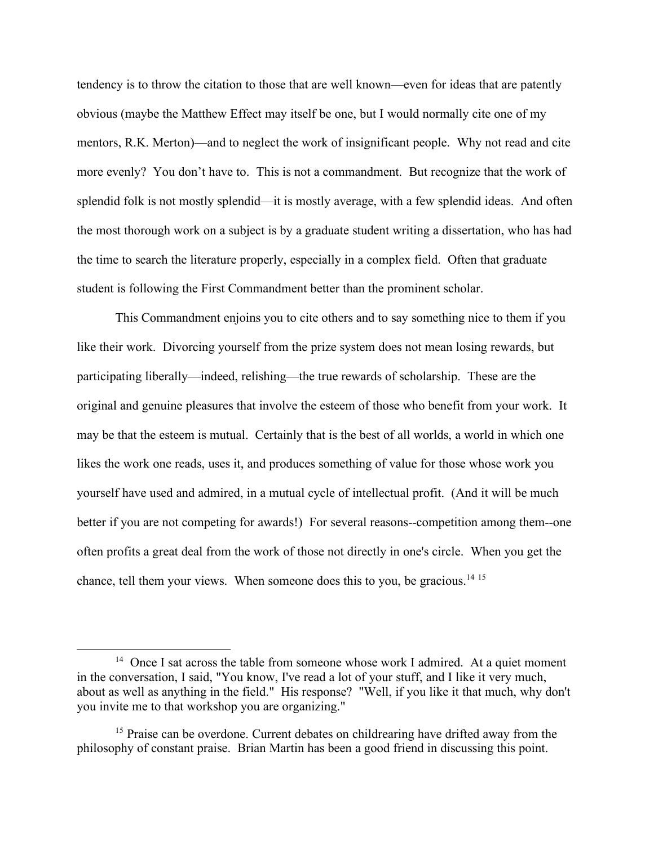tendency is to throw the citation to those that are well known—even for ideas that are patently obvious (maybe the Matthew Effect may itself be one, but I would normally cite one of my mentors, R.K. Merton)—and to neglect the work of insignificant people. Why not read and cite more evenly? You don't have to. This is not a commandment. But recognize that the work of splendid folk is not mostly splendid—it is mostly average, with a few splendid ideas. And often the most thorough work on a subject is by a graduate student writing a dissertation, who has had the time to search the literature properly, especially in a complex field. Often that graduate student is following the First Commandment better than the prominent scholar.

This Commandment enjoins you to cite others and to say something nice to them if you like their work. Divorcing yourself from the prize system does not mean losing rewards, but participating liberally—indeed, relishing—the true rewards of scholarship. These are the original and genuine pleasures that involve the esteem of those who benefit from your work. It may be that the esteem is mutual. Certainly that is the best of all worlds, a world in which one likes the work one reads, uses it, and produces something of value for those whose work you yourself have used and admired, in a mutual cycle of intellectual profit. (And it will be much better if you are not competing for awards!) For several reasons--competition among them--one often profits a great deal from the work of those not directly in one's circle. When you get the chance, tell them your views. When someone does this to you, be gracious.<sup>14 15</sup>

 $14$  Once I sat across the table from someone whose work I admired. At a quiet moment in the conversation, I said, "You know, I've read a lot of your stuff, and I like it very much, about as well as anything in the field." His response? "Well, if you like it that much, why don't you invite me to that workshop you are organizing."

<sup>&</sup>lt;sup>15</sup> Praise can be overdone. Current debates on childrearing have drifted away from the philosophy of constant praise. Brian Martin has been a good friend in discussing this point.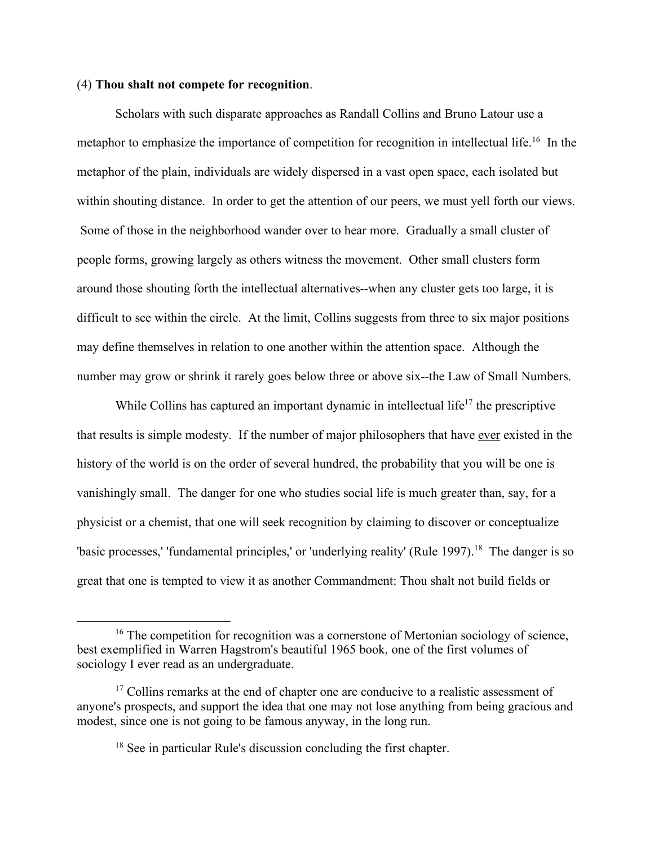# (4) **Thou shalt not compete for recognition**.

Scholars with such disparate approaches as Randall Collins and Bruno Latour use a metaphor to emphasize the importance of competition for recognition in intellectual life.<sup>16</sup> In the metaphor of the plain, individuals are widely dispersed in a vast open space, each isolated but within shouting distance. In order to get the attention of our peers, we must yell forth our views. Some of those in the neighborhood wander over to hear more. Gradually a small cluster of people forms, growing largely as others witness the movement. Other small clusters form around those shouting forth the intellectual alternatives--when any cluster gets too large, it is difficult to see within the circle. At the limit, Collins suggests from three to six major positions may define themselves in relation to one another within the attention space. Although the number may grow or shrink it rarely goes below three or above six--the Law of Small Numbers.

While Collins has captured an important dynamic in intellectual life<sup>17</sup> the prescriptive that results is simple modesty. If the number of major philosophers that have ever existed in the history of the world is on the order of several hundred, the probability that you will be one is vanishingly small. The danger for one who studies social life is much greater than, say, for a physicist or a chemist, that one will seek recognition by claiming to discover or conceptualize 'basic processes,' 'fundamental principles,' or 'underlying reality' (Rule 1997).<sup>18</sup> The danger is so great that one is tempted to view it as another Commandment: Thou shalt not build fields or

<sup>&</sup>lt;sup>16</sup> The competition for recognition was a cornerstone of Mertonian sociology of science, best exemplified in Warren Hagstrom's beautiful 1965 book, one of the first volumes of sociology I ever read as an undergraduate.

<sup>&</sup>lt;sup>17</sup> Collins remarks at the end of chapter one are conducive to a realistic assessment of anyone's prospects, and support the idea that one may not lose anything from being gracious and modest, since one is not going to be famous anyway, in the long run.

<sup>&</sup>lt;sup>18</sup> See in particular Rule's discussion concluding the first chapter.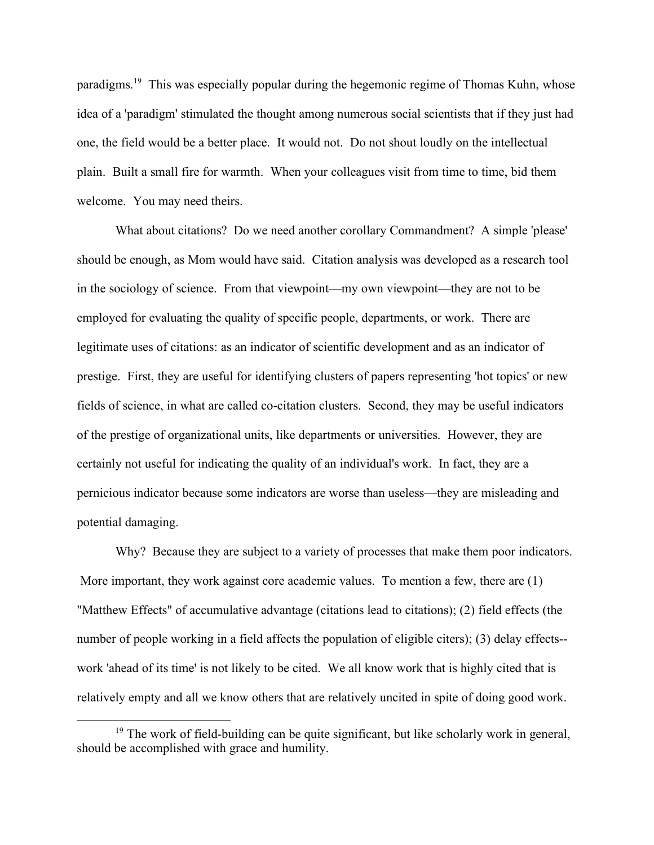paradigms.19 This was especially popular during the hegemonic regime of Thomas Kuhn, whose idea of a 'paradigm' stimulated the thought among numerous social scientists that if they just had one, the field would be a better place. It would not. Do not shout loudly on the intellectual plain. Built a small fire for warmth. When your colleagues visit from time to time, bid them welcome. You may need theirs.

What about citations? Do we need another corollary Commandment? A simple 'please' should be enough, as Mom would have said. Citation analysis was developed as a research tool in the sociology of science. From that viewpoint—my own viewpoint—they are not to be employed for evaluating the quality of specific people, departments, or work. There are legitimate uses of citations: as an indicator of scientific development and as an indicator of prestige. First, they are useful for identifying clusters of papers representing 'hot topics' or new fields of science, in what are called co-citation clusters. Second, they may be useful indicators of the prestige of organizational units, like departments or universities. However, they are certainly not useful for indicating the quality of an individual's work. In fact, they are a pernicious indicator because some indicators are worse than useless—they are misleading and potential damaging.

Why? Because they are subject to a variety of processes that make them poor indicators. More important, they work against core academic values. To mention a few, there are (1) "Matthew Effects" of accumulative advantage (citations lead to citations); (2) field effects (the number of people working in a field affects the population of eligible citers); (3) delay effects-work 'ahead of its time' is not likely to be cited. We all know work that is highly cited that is relatively empty and all we know others that are relatively uncited in spite of doing good work.

<sup>&</sup>lt;sup>19</sup> The work of field-building can be quite significant, but like scholarly work in general, should be accomplished with grace and humility.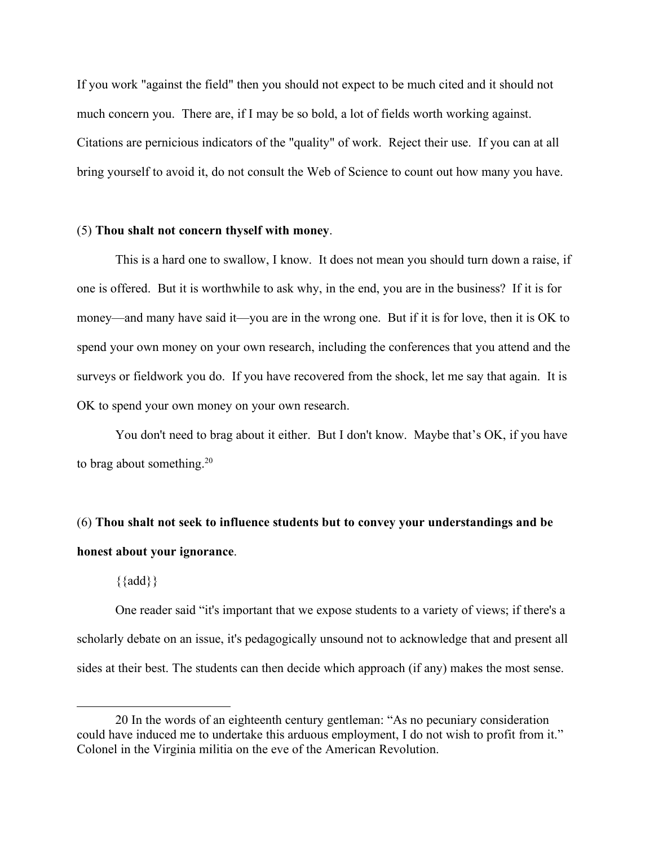If you work "against the field" then you should not expect to be much cited and it should not much concern you. There are, if I may be so bold, a lot of fields worth working against. Citations are pernicious indicators of the "quality" of work. Reject their use. If you can at all bring yourself to avoid it, do not consult the Web of Science to count out how many you have.

## (5) **Thou shalt not concern thyself with money**.

This is a hard one to swallow, I know. It does not mean you should turn down a raise, if one is offered. But it is worthwhile to ask why, in the end, you are in the business? If it is for money—and many have said it—you are in the wrong one. But if it is for love, then it is OK to spend your own money on your own research, including the conferences that you attend and the surveys or fieldwork you do. If you have recovered from the shock, let me say that again. It is OK to spend your own money on your own research.

You don't need to brag about it either. But I don't know. Maybe that's OK, if you have to brag about something.<sup>20</sup>

# (6) **Thou shalt not seek to influence students but to convey your understandings and be honest about your ignorance**.

 $\{\{\text{add}\}\}\$ 

 $\overline{a}$ 

One reader said "it's important that we expose students to a variety of views; if there's a scholarly debate on an issue, it's pedagogically unsound not to acknowledge that and present all sides at their best. The students can then decide which approach (if any) makes the most sense.

<sup>20</sup> In the words of an eighteenth century gentleman: "As no pecuniary consideration could have induced me to undertake this arduous employment, I do not wish to profit from it." Colonel in the Virginia militia on the eve of the American Revolution.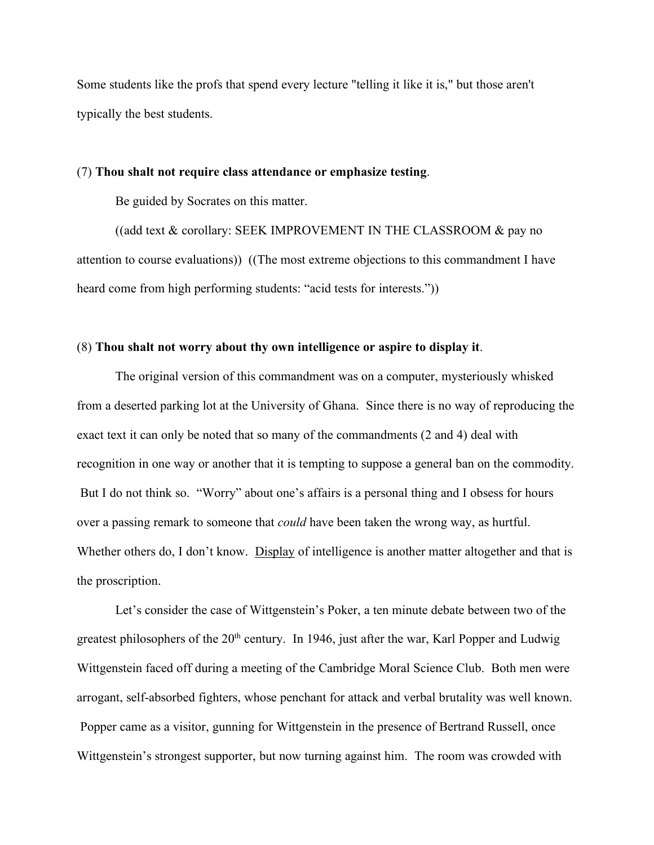Some students like the profs that spend every lecture "telling it like it is," but those aren't typically the best students.

## (7) **Thou shalt not require class attendance or emphasize testing**.

Be guided by Socrates on this matter.

((add text & corollary: SEEK IMPROVEMENT IN THE CLASSROOM & pay no attention to course evaluations)) ((The most extreme objections to this commandment I have heard come from high performing students: "acid tests for interests."))

# (8) **Thou shalt not worry about thy own intelligence or aspire to display it**.

The original version of this commandment was on a computer, mysteriously whisked from a deserted parking lot at the University of Ghana. Since there is no way of reproducing the exact text it can only be noted that so many of the commandments (2 and 4) deal with recognition in one way or another that it is tempting to suppose a general ban on the commodity. But I do not think so. "Worry" about one's affairs is a personal thing and I obsess for hours over a passing remark to someone that *could* have been taken the wrong way, as hurtful. Whether others do, I don't know. Display of intelligence is another matter altogether and that is the proscription.

Let's consider the case of Wittgenstein's Poker, a ten minute debate between two of the greatest philosophers of the 20<sup>th</sup> century. In 1946, just after the war, Karl Popper and Ludwig Wittgenstein faced off during a meeting of the Cambridge Moral Science Club. Both men were arrogant, self-absorbed fighters, whose penchant for attack and verbal brutality was well known. Popper came as a visitor, gunning for Wittgenstein in the presence of Bertrand Russell, once Wittgenstein's strongest supporter, but now turning against him. The room was crowded with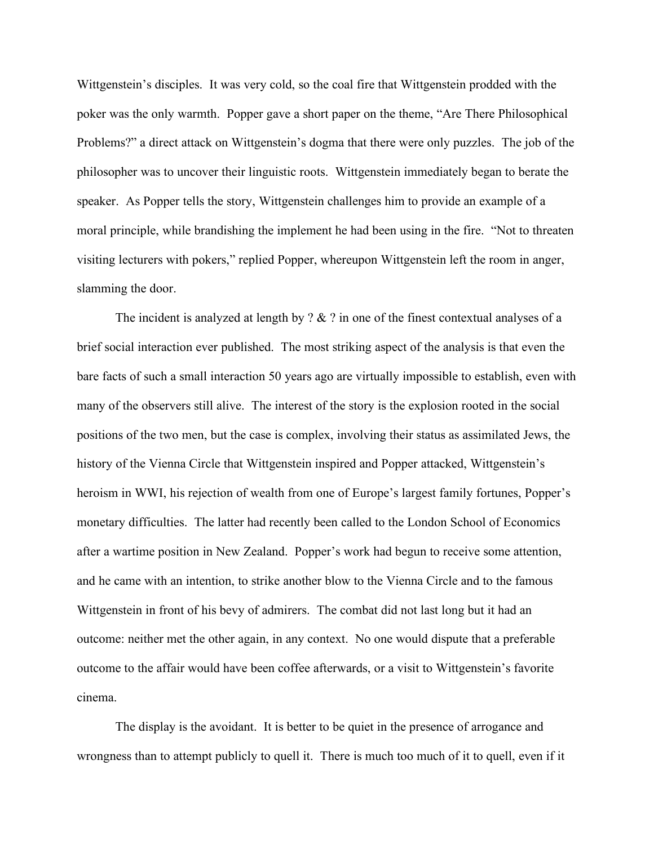Wittgenstein's disciples. It was very cold, so the coal fire that Wittgenstein prodded with the poker was the only warmth. Popper gave a short paper on the theme, "Are There Philosophical Problems?" a direct attack on Wittgenstein's dogma that there were only puzzles. The job of the philosopher was to uncover their linguistic roots. Wittgenstein immediately began to berate the speaker. As Popper tells the story, Wittgenstein challenges him to provide an example of a moral principle, while brandishing the implement he had been using in the fire. "Not to threaten visiting lecturers with pokers," replied Popper, whereupon Wittgenstein left the room in anger, slamming the door.

The incident is analyzed at length by  $? \& ?$  in one of the finest contextual analyses of a brief social interaction ever published. The most striking aspect of the analysis is that even the bare facts of such a small interaction 50 years ago are virtually impossible to establish, even with many of the observers still alive. The interest of the story is the explosion rooted in the social positions of the two men, but the case is complex, involving their status as assimilated Jews, the history of the Vienna Circle that Wittgenstein inspired and Popper attacked, Wittgenstein's heroism in WWI, his rejection of wealth from one of Europe's largest family fortunes, Popper's monetary difficulties. The latter had recently been called to the London School of Economics after a wartime position in New Zealand. Popper's work had begun to receive some attention, and he came with an intention, to strike another blow to the Vienna Circle and to the famous Wittgenstein in front of his bevy of admirers. The combat did not last long but it had an outcome: neither met the other again, in any context. No one would dispute that a preferable outcome to the affair would have been coffee afterwards, or a visit to Wittgenstein's favorite cinema.

The display is the avoidant. It is better to be quiet in the presence of arrogance and wrongness than to attempt publicly to quell it. There is much too much of it to quell, even if it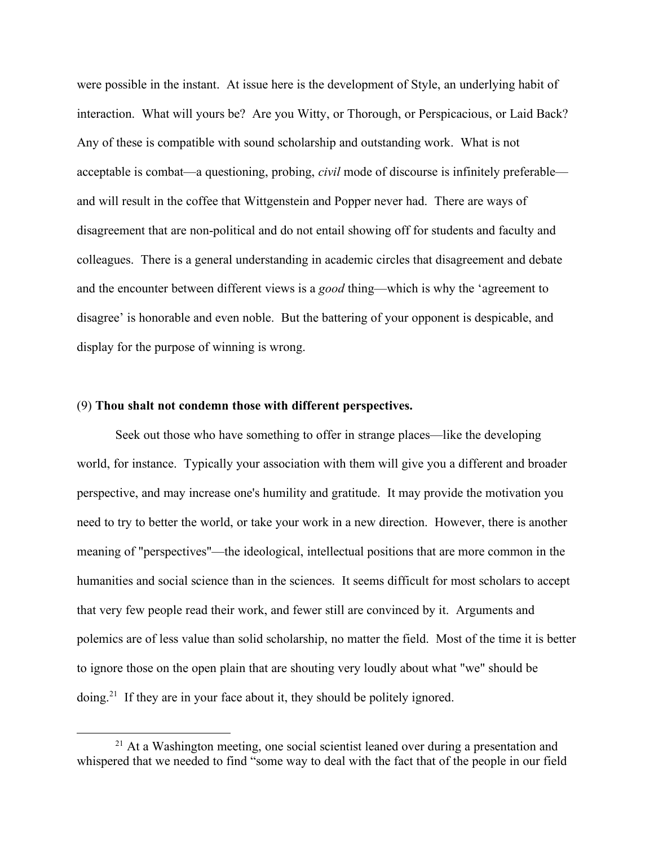were possible in the instant. At issue here is the development of Style, an underlying habit of interaction. What will yours be? Are you Witty, or Thorough, or Perspicacious, or Laid Back? Any of these is compatible with sound scholarship and outstanding work. What is not acceptable is combat—a questioning, probing, *civil* mode of discourse is infinitely preferable and will result in the coffee that Wittgenstein and Popper never had. There are ways of disagreement that are non-political and do not entail showing off for students and faculty and colleagues. There is a general understanding in academic circles that disagreement and debate and the encounter between different views is a *good* thing—which is why the 'agreement to disagree' is honorable and even noble. But the battering of your opponent is despicable, and display for the purpose of winning is wrong.

## (9) **Thou shalt not condemn those with different perspectives.**

Seek out those who have something to offer in strange places—like the developing world, for instance. Typically your association with them will give you a different and broader perspective, and may increase one's humility and gratitude. It may provide the motivation you need to try to better the world, or take your work in a new direction. However, there is another meaning of "perspectives"—the ideological, intellectual positions that are more common in the humanities and social science than in the sciences. It seems difficult for most scholars to accept that very few people read their work, and fewer still are convinced by it. Arguments and polemics are of less value than solid scholarship, no matter the field. Most of the time it is better to ignore those on the open plain that are shouting very loudly about what "we" should be doing.<sup>21</sup> If they are in your face about it, they should be politely ignored.

 $21$  At a Washington meeting, one social scientist leaned over during a presentation and whispered that we needed to find "some way to deal with the fact that of the people in our field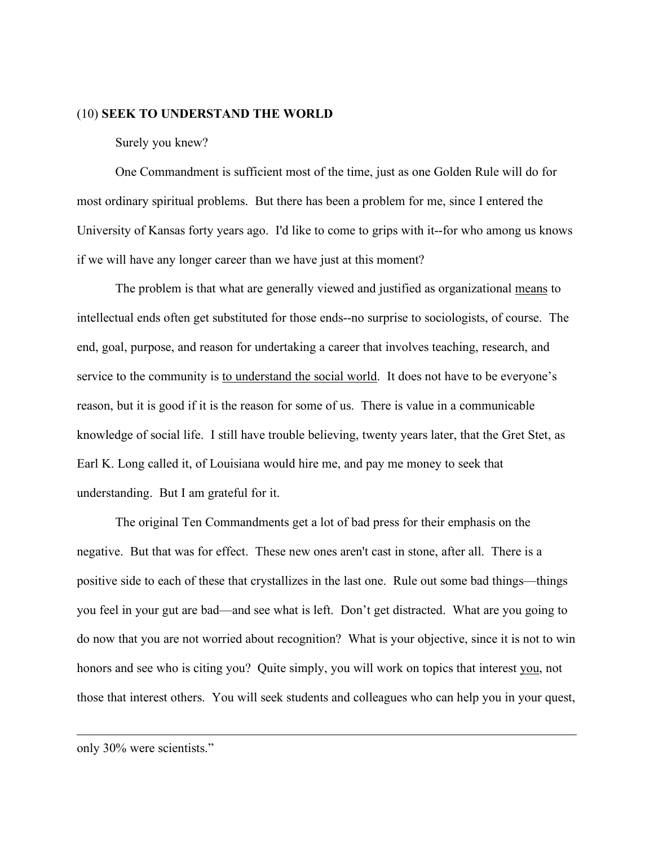### (10) **SEEK TO UNDERSTAND THE WORLD**

## Surely you knew?

One Commandment is sufficient most of the time, just as one Golden Rule will do for most ordinary spiritual problems. But there has been a problem for me, since I entered the University of Kansas forty years ago. I'd like to come to grips with it--for who among us knows if we will have any longer career than we have just at this moment?

The problem is that what are generally viewed and justified as organizational means to intellectual ends often get substituted for those ends--no surprise to sociologists, of course. The end, goal, purpose, and reason for undertaking a career that involves teaching, research, and service to the community is to understand the social world. It does not have to be everyone's reason, but it is good if it is the reason for some of us. There is value in a communicable knowledge of social life. I still have trouble believing, twenty years later, that the Gret Stet, as Earl K. Long called it, of Louisiana would hire me, and pay me money to seek that understanding. But I am grateful for it.

The original Ten Commandments get a lot of bad press for their emphasis on the negative. But that was for effect. These new ones aren't cast in stone, after all. There is a positive side to each of these that crystallizes in the last one. Rule out some bad things—things you feel in your gut are bad—and see what is left. Don't get distracted. What are you going to do now that you are not worried about recognition? What is your objective, since it is not to win honors and see who is citing you? Quite simply, you will work on topics that interest you, not those that interest others. You will seek students and colleagues who can help you in your quest,

 $\overline{a}$ 

only 30% were scientists."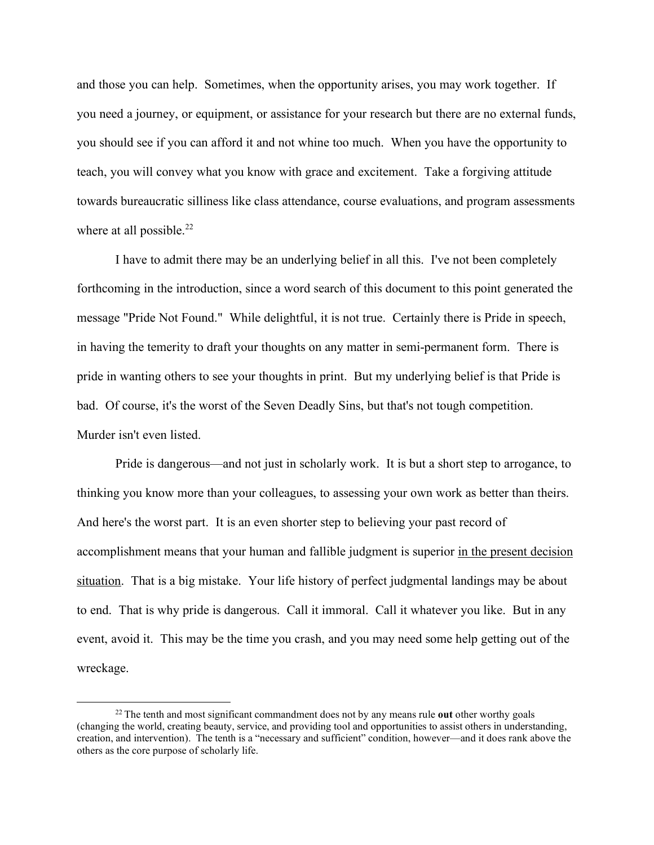and those you can help. Sometimes, when the opportunity arises, you may work together. If you need a journey, or equipment, or assistance for your research but there are no external funds, you should see if you can afford it and not whine too much. When you have the opportunity to teach, you will convey what you know with grace and excitement. Take a forgiving attitude towards bureaucratic silliness like class attendance, course evaluations, and program assessments where at all possible. $22$ 

I have to admit there may be an underlying belief in all this. I've not been completely forthcoming in the introduction, since a word search of this document to this point generated the message "Pride Not Found." While delightful, it is not true. Certainly there is Pride in speech, in having the temerity to draft your thoughts on any matter in semi-permanent form. There is pride in wanting others to see your thoughts in print. But my underlying belief is that Pride is bad. Of course, it's the worst of the Seven Deadly Sins, but that's not tough competition. Murder isn't even listed.

Pride is dangerous—and not just in scholarly work. It is but a short step to arrogance, to thinking you know more than your colleagues, to assessing your own work as better than theirs. And here's the worst part. It is an even shorter step to believing your past record of accomplishment means that your human and fallible judgment is superior in the present decision situation. That is a big mistake. Your life history of perfect judgmental landings may be about to end. That is why pride is dangerous. Call it immoral. Call it whatever you like. But in any event, avoid it. This may be the time you crash, and you may need some help getting out of the wreckage.

 <sup>22</sup> The tenth and most significant commandment does not by any means rule **out** other worthy goals (changing the world, creating beauty, service, and providing tool and opportunities to assist others in understanding, creation, and intervention). The tenth is a "necessary and sufficient" condition, however—and it does rank above the others as the core purpose of scholarly life.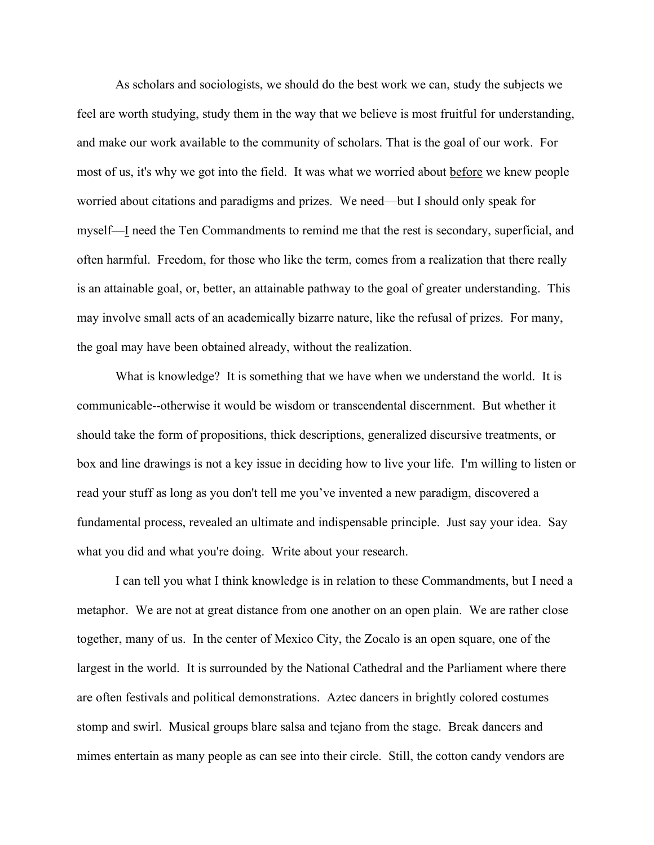As scholars and sociologists, we should do the best work we can, study the subjects we feel are worth studying, study them in the way that we believe is most fruitful for understanding, and make our work available to the community of scholars. That is the goal of our work. For most of us, it's why we got into the field. It was what we worried about before we knew people worried about citations and paradigms and prizes. We need—but I should only speak for myself—I need the Ten Commandments to remind me that the rest is secondary, superficial, and often harmful. Freedom, for those who like the term, comes from a realization that there really is an attainable goal, or, better, an attainable pathway to the goal of greater understanding. This may involve small acts of an academically bizarre nature, like the refusal of prizes. For many, the goal may have been obtained already, without the realization.

What is knowledge? It is something that we have when we understand the world. It is communicable--otherwise it would be wisdom or transcendental discernment. But whether it should take the form of propositions, thick descriptions, generalized discursive treatments, or box and line drawings is not a key issue in deciding how to live your life. I'm willing to listen or read your stuff as long as you don't tell me you've invented a new paradigm, discovered a fundamental process, revealed an ultimate and indispensable principle. Just say your idea. Say what you did and what you're doing. Write about your research.

I can tell you what I think knowledge is in relation to these Commandments, but I need a metaphor. We are not at great distance from one another on an open plain. We are rather close together, many of us. In the center of Mexico City, the Zocalo is an open square, one of the largest in the world. It is surrounded by the National Cathedral and the Parliament where there are often festivals and political demonstrations. Aztec dancers in brightly colored costumes stomp and swirl. Musical groups blare salsa and tejano from the stage. Break dancers and mimes entertain as many people as can see into their circle. Still, the cotton candy vendors are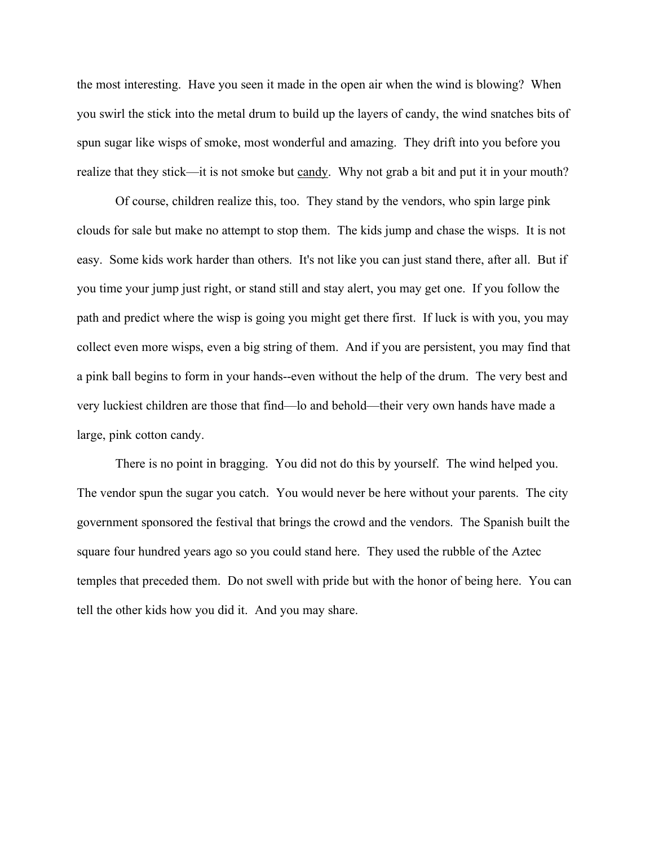the most interesting. Have you seen it made in the open air when the wind is blowing? When you swirl the stick into the metal drum to build up the layers of candy, the wind snatches bits of spun sugar like wisps of smoke, most wonderful and amazing. They drift into you before you realize that they stick—it is not smoke but candy. Why not grab a bit and put it in your mouth?

Of course, children realize this, too. They stand by the vendors, who spin large pink clouds for sale but make no attempt to stop them. The kids jump and chase the wisps. It is not easy. Some kids work harder than others. It's not like you can just stand there, after all. But if you time your jump just right, or stand still and stay alert, you may get one. If you follow the path and predict where the wisp is going you might get there first. If luck is with you, you may collect even more wisps, even a big string of them. And if you are persistent, you may find that a pink ball begins to form in your hands--even without the help of the drum. The very best and very luckiest children are those that find—lo and behold—their very own hands have made a large, pink cotton candy.

There is no point in bragging. You did not do this by yourself. The wind helped you. The vendor spun the sugar you catch. You would never be here without your parents. The city government sponsored the festival that brings the crowd and the vendors. The Spanish built the square four hundred years ago so you could stand here. They used the rubble of the Aztec temples that preceded them. Do not swell with pride but with the honor of being here. You can tell the other kids how you did it. And you may share.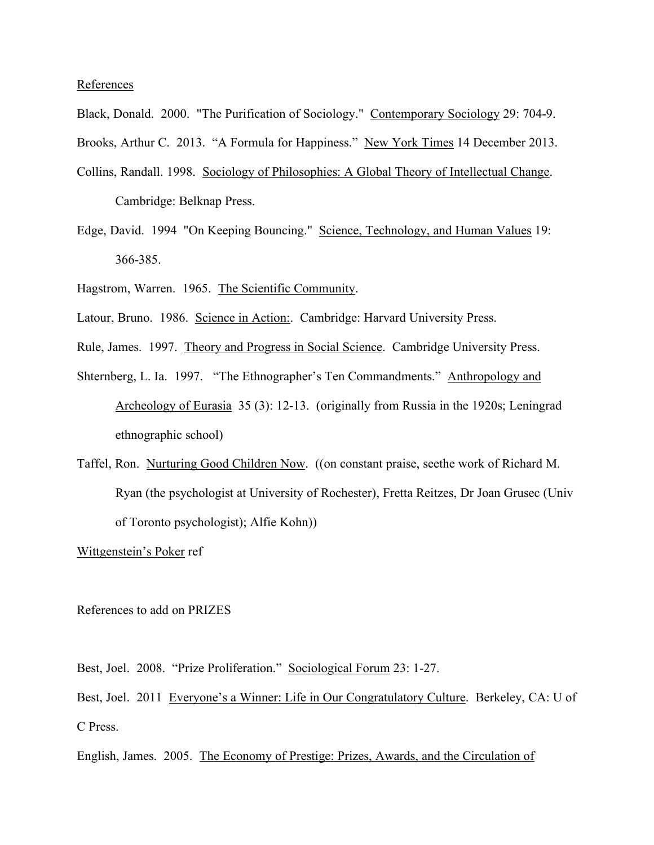## References

Black, Donald. 2000. "The Purification of Sociology." Contemporary Sociology 29: 704-9.

Brooks, Arthur C. 2013. "A Formula for Happiness." New York Times 14 December 2013.

- Collins, Randall. 1998. Sociology of Philosophies: A Global Theory of Intellectual Change. Cambridge: Belknap Press.
- Edge, David. 1994 "On Keeping Bouncing." Science, Technology, and Human Values 19: 366-385.
- Hagstrom, Warren. 1965. The Scientific Community.
- Latour, Bruno. 1986. Science in Action:. Cambridge: Harvard University Press.
- Rule, James. 1997. Theory and Progress in Social Science. Cambridge University Press.
- Shternberg, L. Ia. 1997. "The Ethnographer's Ten Commandments." Anthropology and Archeology of Eurasia 35 (3): 12-13. (originally from Russia in the 1920s; Leningrad ethnographic school)
- Taffel, Ron. Nurturing Good Children Now. ((on constant praise, seethe work of Richard M. Ryan (the psychologist at University of Rochester), Fretta Reitzes, Dr Joan Grusec (Univ of Toronto psychologist); Alfie Kohn))

Wittgenstein's Poker ref

References to add on PRIZES

Best, Joel. 2008. "Prize Proliferation." Sociological Forum 23: 1-27.

Best, Joel. 2011 Everyone's a Winner: Life in Our Congratulatory Culture. Berkeley, CA: U of C Press.

English, James. 2005. The Economy of Prestige: Prizes, Awards, and the Circulation of